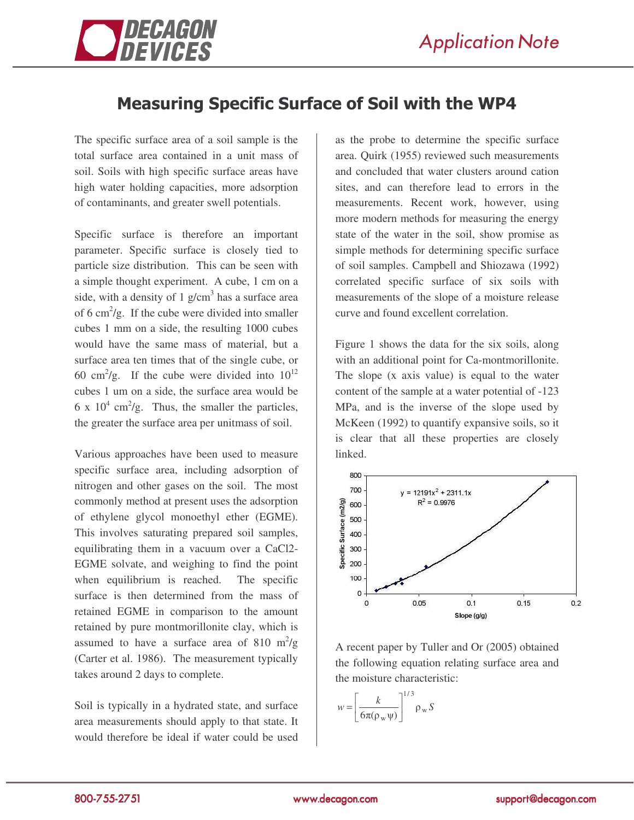

## Measuring Specific Surface of Soil with the WP4

The specific surface area of a soil sample is the total surface area contained in a unit mass of soil. Soils with high specific surface areas have high water holding capacities, more adsorption of contaminants, and greater swell potentials.

Specific surface is therefore an important parameter. Specific surface is closely tied to particle size distribution. This can be seen with a simple thought experiment. A cube, 1 cm on a side, with a density of 1  $g/cm<sup>3</sup>$  has a surface area of 6 cm<sup>2</sup>/g. If the cube were divided into smaller cubes 1 mm on a side, the resulting 1000 cubes would have the same mass of material, but a surface area ten times that of the single cube, or 60 cm<sup>2</sup>/g. If the cube were divided into  $10^{12}$ cubes 1 um on a side, the surface area would be 6 x  $10^4$  cm<sup>2</sup>/g. Thus, the smaller the particles, the greater the surface area per unitmass of soil.

Various approaches have been used to measure specific surface area, including adsorption of nitrogen and other gases on the soil. The most commonly method at present uses the adsorption of ethylene glycol monoethyl ether (EGME). This involves saturating prepared soil samples, equilibrating them in a vacuum over a CaCl2- EGME solvate, and weighing to find the point when equilibrium is reached. The specific surface is then determined from the mass of retained EGME in comparison to the amount retained by pure montmorillonite clay, which is assumed to have a surface area of 810  $\mathrm{m}^2/\mathrm{g}$ (Carter et al. 1986). The measurement typically takes around 2 days to complete.

Soil is typically in a hydrated state, and surface area measurements should apply to that state. It would therefore be ideal if water could be used as the probe to determine the specific surface area. Quirk (1955) reviewed such measurements and concluded that water clusters around cation sites, and can therefore lead to errors in the measurements. Recent work, however, using more modern methods for measuring the energy state of the water in the soil, show promise as simple methods for determining specific surface of soil samples. Campbell and Shiozawa (1992) correlated specific surface of six soils with measurements of the slope of a moisture release curve and found excellent correlation.

Figure 1 shows the data for the six soils, along with an additional point for Ca-montmorillonite. The slope (x axis value) is equal to the water content of the sample at a water potential of -123 MPa, and is the inverse of the slope used by McKeen (1992) to quantify expansive soils, so it is clear that all these properties are closely linked.



A recent paper by Tuller and Or (2005) obtained the following equation relating surface area and the moisture characteristic:

$$
w = \left[\frac{k}{6\pi(\rho_w \psi)}\right]^{1/3} \rho_w S
$$